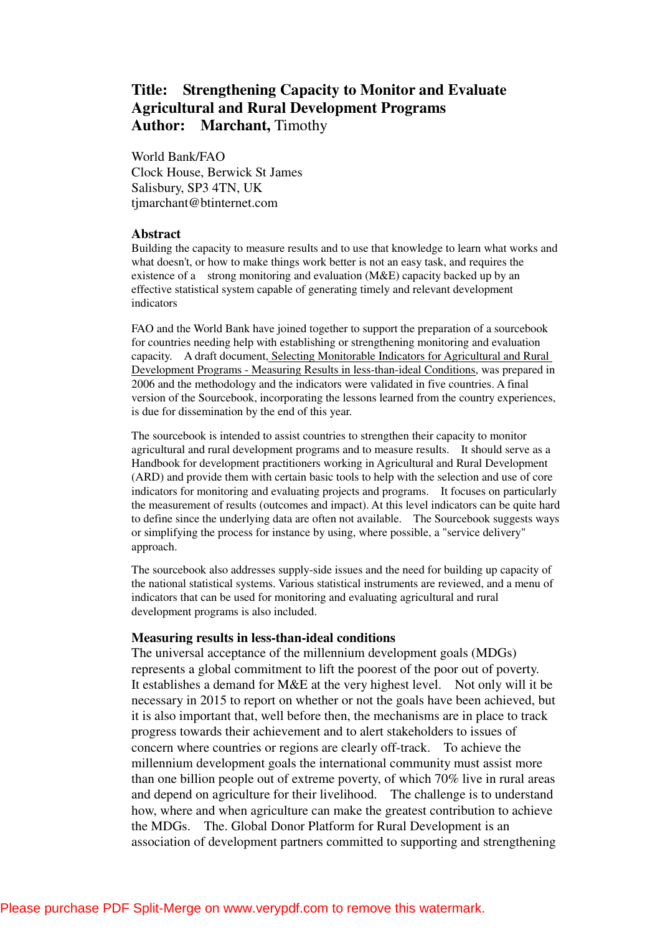## **Title: Strengthening Capacity to Monitor and Evaluate Agricultural and Rural Development Programs**  Author: Marchant, Timothy

World Bank/FAO Clock House, Berwick St James Salisbury, SP3 4TN, UK tjmarchant@btinternet.com

## **Abstract**

Building the capacity to measure results and to use that knowledge to learn what works and what doesn't, or how to make things work better is not an easy task, and requires the existence of a strong monitoring and evaluation (M&E) capacity backed up by an effective statistical system capable of generating timely and relevant development indicators

FAO and the World Bank have joined together to support the preparation of a sourcebook for countries needing help with establishing or strengthening monitoring and evaluation capacity. A draft document, Selecting Monitorable Indicators for Agricultural and Rural Development Programs - Measuring Results in less-than-ideal Conditions, was prepared in 2006 and the methodology and the indicators were validated in five countries. A final version of the Sourcebook, incorporating the lessons learned from the country experiences, is due for dissemination by the end of this year.

The sourcebook is intended to assist countries to strengthen their capacity to monitor agricultural and rural development programs and to measure results. It should serve as a Handbook for development practitioners working in Agricultural and Rural Development (ARD) and provide them with certain basic tools to help with the selection and use of core indicators for monitoring and evaluating projects and programs. It focuses on particularly the measurement of results (outcomes and impact). At this level indicators can be quite hard to define since the underlying data are often not available. The Sourcebook suggests ways or simplifying the process for instance by using, where possible, a "service delivery" approach.

The sourcebook also addresses supply-side issues and the need for building up capacity of the national statistical systems. Various statistical instruments are reviewed, and a menu of indicators that can be used for monitoring and evaluating agricultural and rural development programs is also included.

## **Measuring results in less-than-ideal conditions**

The universal acceptance of the millennium development goals (MDGs) represents a global commitment to lift the poorest of the poor out of poverty. It establishes a demand for M&E at the very highest level. Not only will it be necessary in 2015 to report on whether or not the goals have been achieved, but it is also important that, well before then, the mechanisms are in place to track progress towards their achievement and to alert stakeholders to issues of concern where countries or regions are clearly off-track. To achieve the millennium development goals the international community must assist more than one billion people out of extreme poverty, of which 70% live in rural areas and depend on agriculture for their livelihood. The challenge is to understand how, where and when agriculture can make the greatest contribution to achieve the MDGs. The. Global Donor Platform for Rural Development is an association of development partners committed to supporting and strengthening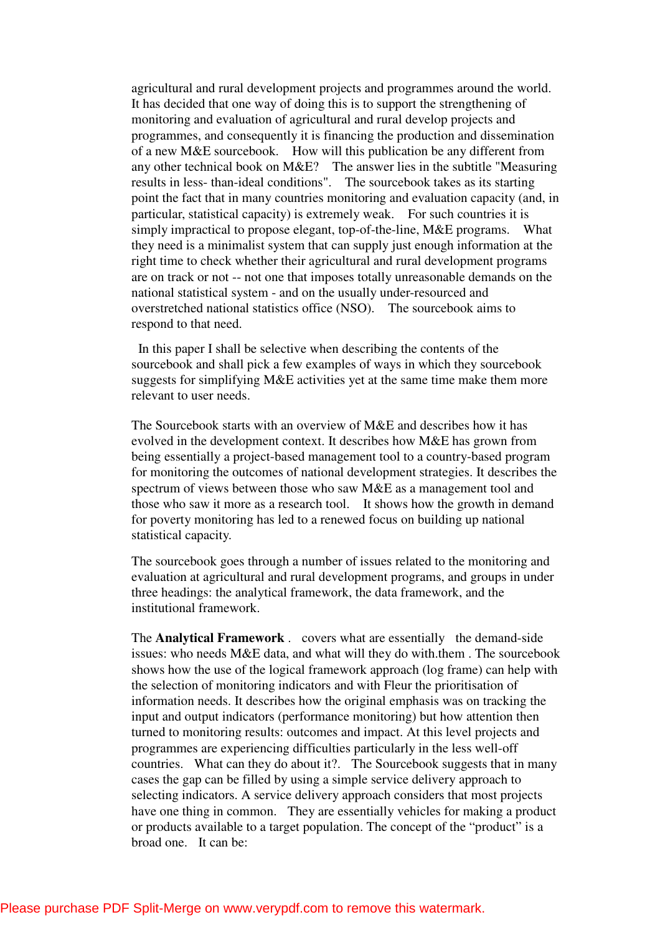agricultural and rural development projects and programmes around the world. It has decided that one way of doing this is to support the strengthening of monitoring and evaluation of agricultural and rural develop projects and programmes, and consequently it is financing the production and dissemination of a new M&E sourcebook. How will this publication be any different from any other technical book on M&E? The answer lies in the subtitle "Measuring results in less- than-ideal conditions". The sourcebook takes as its starting point the fact that in many countries monitoring and evaluation capacity (and, in particular, statistical capacity) is extremely weak. For such countries it is simply impractical to propose elegant, top-of-the-line, M&E programs. What they need is a minimalist system that can supply just enough information at the right time to check whether their agricultural and rural development programs are on track or not -- not one that imposes totally unreasonable demands on the national statistical system - and on the usually under-resourced and overstretched national statistics office (NSO). The sourcebook aims to respond to that need.

 In this paper I shall be selective when describing the contents of the sourcebook and shall pick a few examples of ways in which they sourcebook suggests for simplifying M&E activities yet at the same time make them more relevant to user needs.

The Sourcebook starts with an overview of M&E and describes how it has evolved in the development context. It describes how M&E has grown from being essentially a project-based management tool to a country-based program for monitoring the outcomes of national development strategies. It describes the spectrum of views between those who saw M&E as a management tool and those who saw it more as a research tool. It shows how the growth in demand for poverty monitoring has led to a renewed focus on building up national statistical capacity.

The sourcebook goes through a number of issues related to the monitoring and evaluation at agricultural and rural development programs, and groups in under three headings: the analytical framework, the data framework, and the institutional framework.

The **Analytical Framework** . covers what are essentially the demand-side issues: who needs M&E data, and what will they do with.them . The sourcebook shows how the use of the logical framework approach (log frame) can help with the selection of monitoring indicators and with Fleur the prioritisation of information needs. It describes how the original emphasis was on tracking the input and output indicators (performance monitoring) but how attention then turned to monitoring results: outcomes and impact. At this level projects and programmes are experiencing difficulties particularly in the less well-off countries. What can they do about it?. The Sourcebook suggests that in many cases the gap can be filled by using a simple service delivery approach to selecting indicators. A service delivery approach considers that most projects have one thing in common. They are essentially vehicles for making a product or products available to a target population. The concept of the "product" is a broad one. It can be: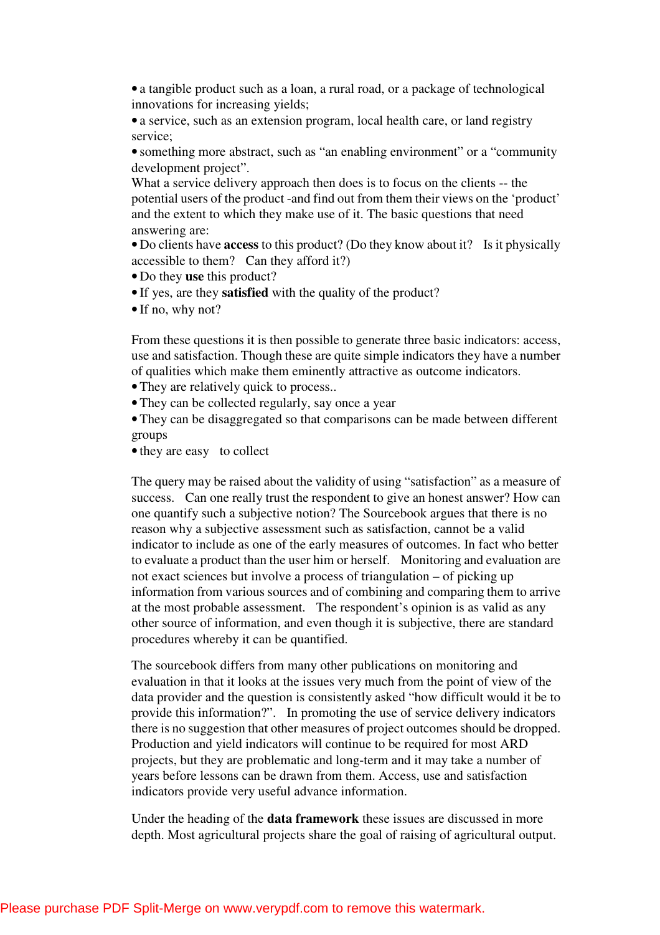• a tangible product such as a loan, a rural road, or a package of technological innovations for increasing yields;

• a service, such as an extension program, local health care, or land registry service;

• something more abstract, such as "an enabling environment" or a "community" development project".

What a service delivery approach then does is to focus on the clients -- the potential users of the product -and find out from them their views on the 'product' and the extent to which they make use of it. The basic questions that need answering are:

• Do clients have **access** to this product? (Do they know about it? Is it physically accessible to them? Can they afford it?)

• Do they **use** this product?

- If yes, are they **satisfied** with the quality of the product?
- If no, why not?

From these questions it is then possible to generate three basic indicators: access, use and satisfaction. Though these are quite simple indicators they have a number of qualities which make them eminently attractive as outcome indicators.

• They are relatively quick to process..

• They can be collected regularly, say once a year

• They can be disaggregated so that comparisons can be made between different groups

• they are easy to collect

The query may be raised about the validity of using "satisfaction" as a measure of success. Can one really trust the respondent to give an honest answer? How can one quantify such a subjective notion? The Sourcebook argues that there is no reason why a subjective assessment such as satisfaction, cannot be a valid indicator to include as one of the early measures of outcomes. In fact who better to evaluate a product than the user him or herself. Monitoring and evaluation are not exact sciences but involve a process of triangulation – of picking up information from various sources and of combining and comparing them to arrive at the most probable assessment. The respondent's opinion is as valid as any other source of information, and even though it is subjective, there are standard procedures whereby it can be quantified.

The sourcebook differs from many other publications on monitoring and evaluation in that it looks at the issues very much from the point of view of the data provider and the question is consistently asked "how difficult would it be to provide this information?". In promoting the use of service delivery indicators there is no suggestion that other measures of project outcomes should be dropped. Production and yield indicators will continue to be required for most ARD projects, but they are problematic and long-term and it may take a number of years before lessons can be drawn from them. Access, use and satisfaction indicators provide very useful advance information.

Under the heading of the **data framework** these issues are discussed in more depth. Most agricultural projects share the goal of raising of agricultural output.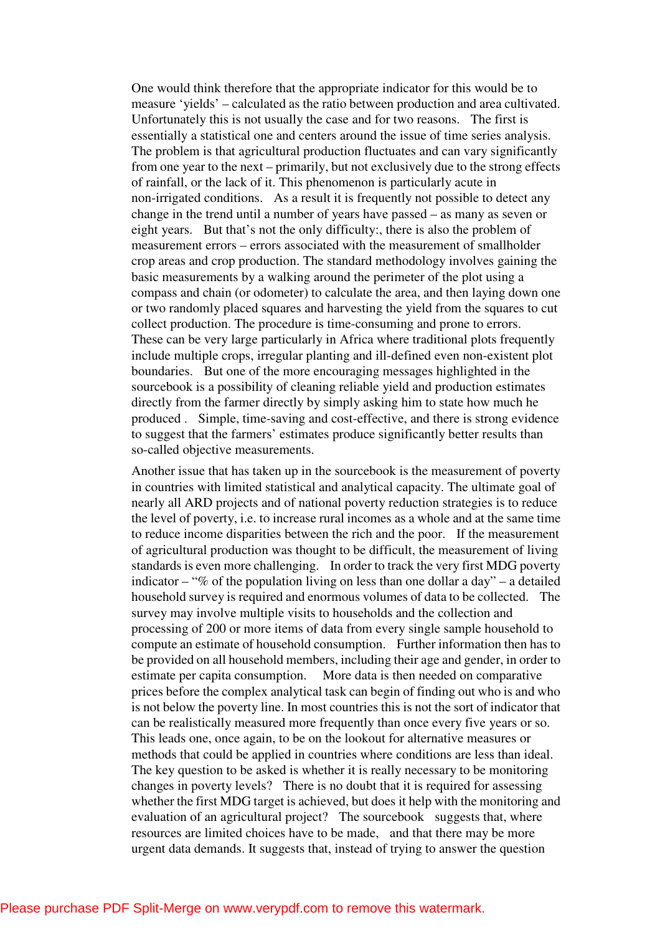One would think therefore that the appropriate indicator for this would be to measure 'yields' – calculated as the ratio between production and area cultivated. Unfortunately this is not usually the case and for two reasons. The first is essentially a statistical one and centers around the issue of time series analysis. The problem is that agricultural production fluctuates and can vary significantly from one year to the next – primarily, but not exclusively due to the strong effects of rainfall, or the lack of it. This phenomenon is particularly acute in non-irrigated conditions. As a result it is frequently not possible to detect any change in the trend until a number of years have passed – as many as seven or eight years. But that's not the only difficulty:, there is also the problem of measurement errors – errors associated with the measurement of smallholder crop areas and crop production. The standard methodology involves gaining the basic measurements by a walking around the perimeter of the plot using a compass and chain (or odometer) to calculate the area, and then laying down one or two randomly placed squares and harvesting the yield from the squares to cut collect production. The procedure is time-consuming and prone to errors. These can be very large particularly in Africa where traditional plots frequently include multiple crops, irregular planting and ill-defined even non-existent plot boundaries. But one of the more encouraging messages highlighted in the sourcebook is a possibility of cleaning reliable yield and production estimates directly from the farmer directly by simply asking him to state how much he produced . Simple, time-saving and cost-effective, and there is strong evidence to suggest that the farmers' estimates produce significantly better results than so-called objective measurements.

Another issue that has taken up in the sourcebook is the measurement of poverty in countries with limited statistical and analytical capacity. The ultimate goal of nearly all ARD projects and of national poverty reduction strategies is to reduce the level of poverty, i.e. to increase rural incomes as a whole and at the same time to reduce income disparities between the rich and the poor. If the measurement of agricultural production was thought to be difficult, the measurement of living standards is even more challenging. In order to track the very first MDG poverty indicator – "% of the population living on less than one dollar a day" – a detailed household survey is required and enormous volumes of data to be collected. The survey may involve multiple visits to households and the collection and processing of 200 or more items of data from every single sample household to compute an estimate of household consumption. Further information then has to be provided on all household members, including their age and gender, in order to estimate per capita consumption. More data is then needed on comparative prices before the complex analytical task can begin of finding out who is and who is not below the poverty line. In most countries this is not the sort of indicator that can be realistically measured more frequently than once every five years or so. This leads one, once again, to be on the lookout for alternative measures or methods that could be applied in countries where conditions are less than ideal. The key question to be asked is whether it is really necessary to be monitoring changes in poverty levels? There is no doubt that it is required for assessing whether the first MDG target is achieved, but does it help with the monitoring and evaluation of an agricultural project? The sourcebook suggests that, where resources are limited choices have to be made, and that there may be more urgent data demands. It suggests that, instead of trying to answer the question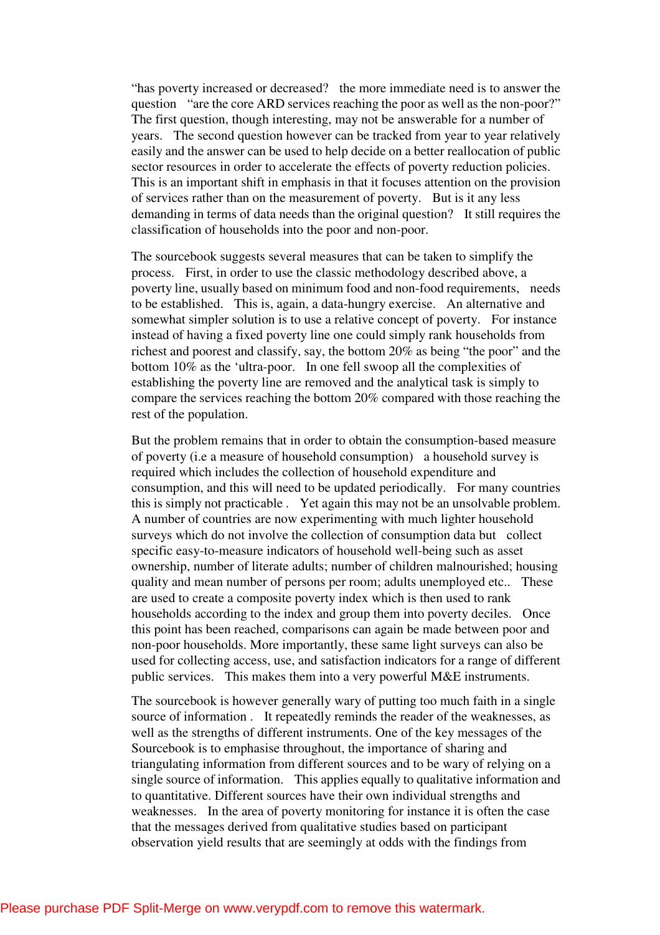"has poverty increased or decreased? the more immediate need is to answer the question "are the core ARD services reaching the poor as well as the non-poor?" The first question, though interesting, may not be answerable for a number of years. The second question however can be tracked from year to year relatively easily and the answer can be used to help decide on a better reallocation of public sector resources in order to accelerate the effects of poverty reduction policies. This is an important shift in emphasis in that it focuses attention on the provision of services rather than on the measurement of poverty. But is it any less demanding in terms of data needs than the original question? It still requires the classification of households into the poor and non-poor.

The sourcebook suggests several measures that can be taken to simplify the process. First, in order to use the classic methodology described above, a poverty line, usually based on minimum food and non-food requirements, needs to be established. This is, again, a data-hungry exercise. An alternative and somewhat simpler solution is to use a relative concept of poverty. For instance instead of having a fixed poverty line one could simply rank households from richest and poorest and classify, say, the bottom 20% as being "the poor" and the bottom 10% as the 'ultra-poor. In one fell swoop all the complexities of establishing the poverty line are removed and the analytical task is simply to compare the services reaching the bottom 20% compared with those reaching the rest of the population.

But the problem remains that in order to obtain the consumption-based measure of poverty (i.e a measure of household consumption) a household survey is required which includes the collection of household expenditure and consumption, and this will need to be updated periodically. For many countries this is simply not practicable . Yet again this may not be an unsolvable problem. A number of countries are now experimenting with much lighter household surveys which do not involve the collection of consumption data but collect specific easy-to-measure indicators of household well-being such as asset ownership, number of literate adults; number of children malnourished; housing quality and mean number of persons per room; adults unemployed etc.. These are used to create a composite poverty index which is then used to rank households according to the index and group them into poverty deciles. Once this point has been reached, comparisons can again be made between poor and non-poor households. More importantly, these same light surveys can also be used for collecting access, use, and satisfaction indicators for a range of different public services. This makes them into a very powerful M&E instruments.

The sourcebook is however generally wary of putting too much faith in a single source of information . It repeatedly reminds the reader of the weaknesses, as well as the strengths of different instruments. One of the key messages of the Sourcebook is to emphasise throughout, the importance of sharing and triangulating information from different sources and to be wary of relying on a single source of information. This applies equally to qualitative information and to quantitative. Different sources have their own individual strengths and weaknesses. In the area of poverty monitoring for instance it is often the case that the messages derived from qualitative studies based on participant observation yield results that are seemingly at odds with the findings from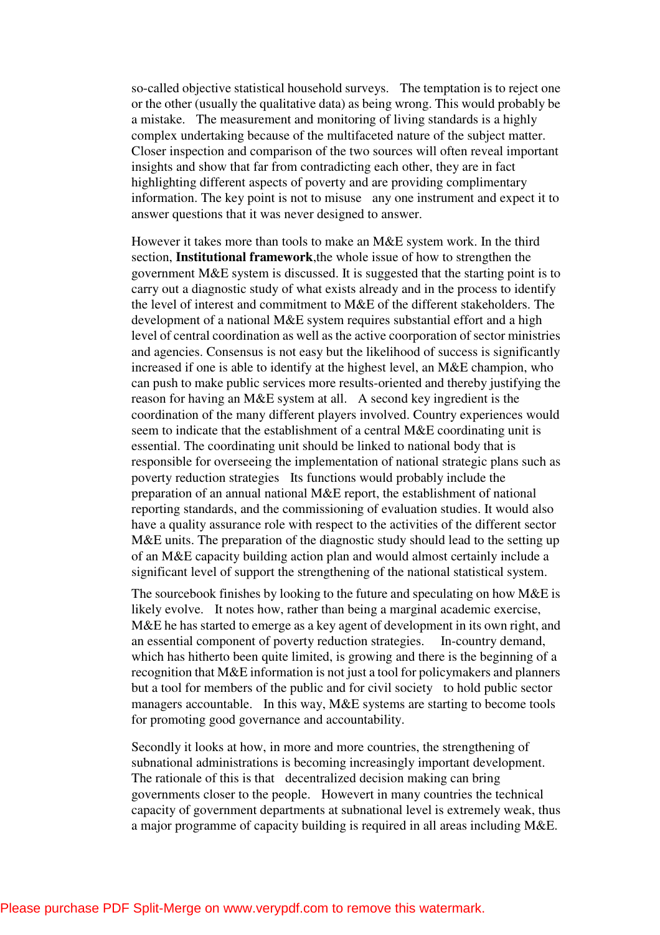so-called objective statistical household surveys. The temptation is to reject one or the other (usually the qualitative data) as being wrong. This would probably be a mistake. The measurement and monitoring of living standards is a highly complex undertaking because of the multifaceted nature of the subject matter. Closer inspection and comparison of the two sources will often reveal important insights and show that far from contradicting each other, they are in fact highlighting different aspects of poverty and are providing complimentary information. The key point is not to misuse any one instrument and expect it to answer questions that it was never designed to answer.

However it takes more than tools to make an M&E system work. In the third section, **Institutional framework**,the whole issue of how to strengthen the government M&E system is discussed. It is suggested that the starting point is to carry out a diagnostic study of what exists already and in the process to identify the level of interest and commitment to M&E of the different stakeholders. The development of a national M&E system requires substantial effort and a high level of central coordination as well as the active coorporation of sector ministries and agencies. Consensus is not easy but the likelihood of success is significantly increased if one is able to identify at the highest level, an M&E champion, who can push to make public services more results-oriented and thereby justifying the reason for having an M&E system at all. A second key ingredient is the coordination of the many different players involved. Country experiences would seem to indicate that the establishment of a central M&E coordinating unit is essential. The coordinating unit should be linked to national body that is responsible for overseeing the implementation of national strategic plans such as poverty reduction strategies Its functions would probably include the preparation of an annual national M&E report, the establishment of national reporting standards, and the commissioning of evaluation studies. It would also have a quality assurance role with respect to the activities of the different sector M&E units. The preparation of the diagnostic study should lead to the setting up of an M&E capacity building action plan and would almost certainly include a significant level of support the strengthening of the national statistical system.

The sourcebook finishes by looking to the future and speculating on how M&E is likely evolve. It notes how, rather than being a marginal academic exercise, M&E he has started to emerge as a key agent of development in its own right, and an essential component of poverty reduction strategies. In-country demand, which has hitherto been quite limited, is growing and there is the beginning of a recognition that M&E information is not just a tool for policymakers and planners but a tool for members of the public and for civil society to hold public sector managers accountable. In this way, M&E systems are starting to become tools for promoting good governance and accountability.

Secondly it looks at how, in more and more countries, the strengthening of subnational administrations is becoming increasingly important development. The rationale of this is that decentralized decision making can bring governments closer to the people. Howevert in many countries the technical capacity of government departments at subnational level is extremely weak, thus a major programme of capacity building is required in all areas including M&E.